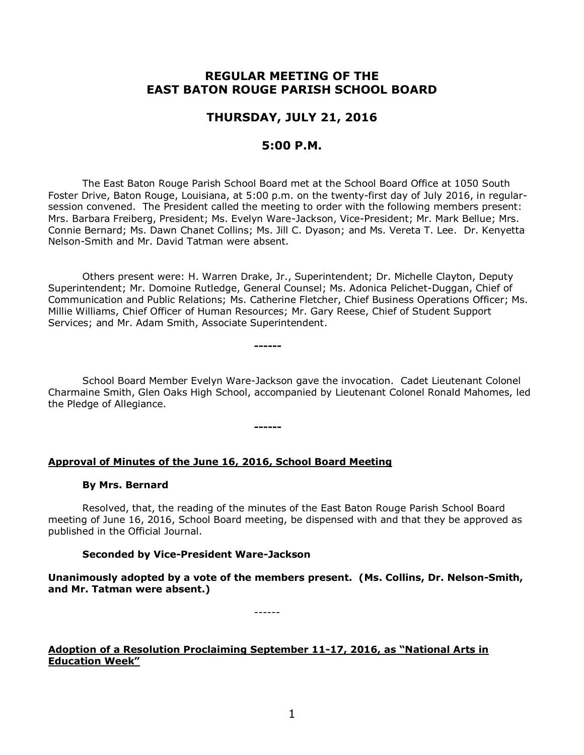# **REGULAR MEETING OF THE EAST BATON ROUGE PARISH SCHOOL BOARD**

## **THURSDAY, JULY 21, 2016**

## **5:00 P.M.**

The East Baton Rouge Parish School Board met at the School Board Office at 1050 South Foster Drive, Baton Rouge, Louisiana, at 5:00 p.m. on the twenty-first day of July 2016, in regularsession convened. The President called the meeting to order with the following members present: Mrs. Barbara Freiberg, President; Ms. Evelyn Ware-Jackson, Vice-President; Mr. Mark Bellue; Mrs. Connie Bernard; Ms. Dawn Chanet Collins; Ms. Jill C. Dyason; and Ms. Vereta T. Lee. Dr. Kenyetta Nelson-Smith and Mr. David Tatman were absent.

Others present were: H. Warren Drake, Jr., Superintendent; Dr. Michelle Clayton, Deputy Superintendent; Mr. Domoine Rutledge, General Counsel; Ms. Adonica Pelichet-Duggan, Chief of Communication and Public Relations; Ms. Catherine Fletcher, Chief Business Operations Officer; Ms. Millie Williams, Chief Officer of Human Resources; Mr. Gary Reese, Chief of Student Support Services; and Mr. Adam Smith, Associate Superintendent.

School Board Member Evelyn Ware-Jackson gave the invocation. Cadet Lieutenant Colonel Charmaine Smith, Glen Oaks High School, accompanied by Lieutenant Colonel Ronald Mahomes, led the Pledge of Allegiance.

#### **------**

**------**

## **Approval of Minutes of the June 16, 2016, School Board Meeting**

#### **By Mrs. Bernard**

Resolved, that, the reading of the minutes of the East Baton Rouge Parish School Board meeting of June 16, 2016, School Board meeting, be dispensed with and that they be approved as published in the Official Journal.

#### **Seconded by Vice-President Ware-Jackson**

**Unanimously adopted by a vote of the members present. (Ms. Collins, Dr. Nelson-Smith, and Mr. Tatman were absent.)**

------

## **Adoption of a Resolution Proclaiming September 11-17, 2016, as "National Arts in Education Week"**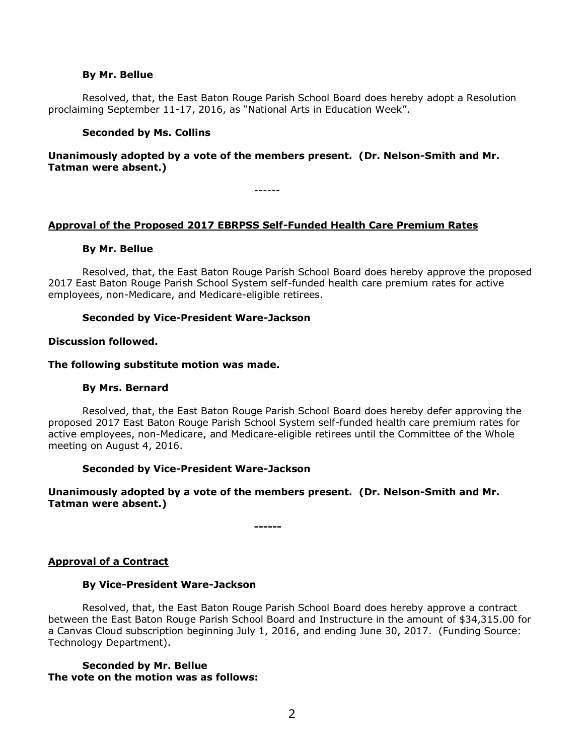#### **By Mr. Bellue**

Resolved, that, the East Baton Rouge Parish School Board does hereby adopt a Resolution proclaiming September 11-17, 2016, as "National Arts in Education Week".

### **Seconded by Ms. Collins**

## **Unanimously adopted by a vote of the members present. (Dr. Nelson-Smith and Mr. Tatman were absent.)**

------

## **Approval of the Proposed 2017 EBRPSS Self-Funded Health Care Premium Rates**

#### **By Mr. Bellue**

Resolved, that, the East Baton Rouge Parish School Board does hereby approve the proposed 2017 East Baton Rouge Parish School System self-funded health care premium rates for active employees, non-Medicare, and Medicare-eligible retirees.

#### **Seconded by Vice-President Ware-Jackson**

#### **Discussion followed.**

#### **The following substitute motion was made.**

#### **By Mrs. Bernard**

Resolved, that, the East Baton Rouge Parish School Board does hereby defer approving the proposed 2017 East Baton Rouge Parish School System self-funded health care premium rates for active employees, non-Medicare, and Medicare-eligible retirees until the Committee of the Whole meeting on August 4, 2016.

## **Seconded by Vice-President Ware-Jackson**

## **Unanimously adopted by a vote of the members present. (Dr. Nelson-Smith and Mr. Tatman were absent.)**

**------**

## **Approval of a Contract**

#### **By Vice-President Ware-Jackson**

Resolved, that, the East Baton Rouge Parish School Board does hereby approve a contract between the East Baton Rouge Parish School Board and Instructure in the amount of \$34,315.00 for a Canvas Cloud subscription beginning July 1, 2016, and ending June 30, 2017. (Funding Source: Technology Department).

#### **Seconded by Mr. Bellue The vote on the motion was as follows:**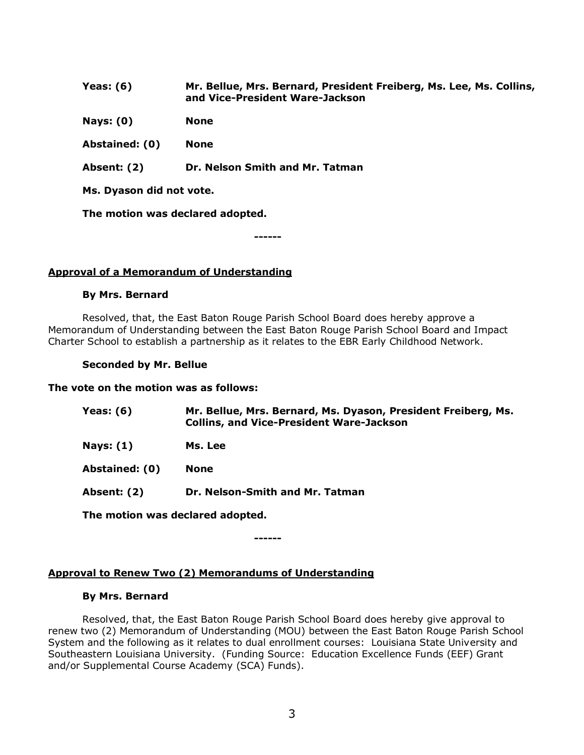| Yeas: $(6)$              | Mr. Bellue, Mrs. Bernard, President Freiberg, Ms. Lee, Ms. Collins,<br>and Vice-President Ware-Jackson |
|--------------------------|--------------------------------------------------------------------------------------------------------|
| Nays: $(0)$              | <b>None</b>                                                                                            |
| Abstained: (0)           | <b>None</b>                                                                                            |
| Absent: (2)              | Dr. Nelson Smith and Mr. Tatman                                                                        |
| Ms. Dyason did not vote. |                                                                                                        |

**The motion was declared adopted.**

**------**

## **Approval of a Memorandum of Understanding**

#### **By Mrs. Bernard**

Resolved, that, the East Baton Rouge Parish School Board does hereby approve a Memorandum of Understanding between the East Baton Rouge Parish School Board and Impact Charter School to establish a partnership as it relates to the EBR Early Childhood Network.

## **Seconded by Mr. Bellue**

#### **The vote on the motion was as follows:**

| <b>Yeas: (6)</b>                 | Mr. Bellue, Mrs. Bernard, Ms. Dyason, President Freiberg, Ms.<br><b>Collins, and Vice-President Ware-Jackson</b> |
|----------------------------------|------------------------------------------------------------------------------------------------------------------|
| <b>Nays: (1)</b>                 | Ms. Lee                                                                                                          |
| Abstained: (0)                   | <b>None</b>                                                                                                      |
| Absent: (2)                      | Dr. Nelson-Smith and Mr. Tatman                                                                                  |
| The method week deeleved edented |                                                                                                                  |

**The motion was declared adopted.**

**------**

# **Approval to Renew Two (2) Memorandums of Understanding**

# **By Mrs. Bernard**

Resolved, that, the East Baton Rouge Parish School Board does hereby give approval to renew two (2) Memorandum of Understanding (MOU) between the East Baton Rouge Parish School System and the following as it relates to dual enrollment courses: Louisiana State University and Southeastern Louisiana University. (Funding Source: Education Excellence Funds (EEF) Grant and/or Supplemental Course Academy (SCA) Funds).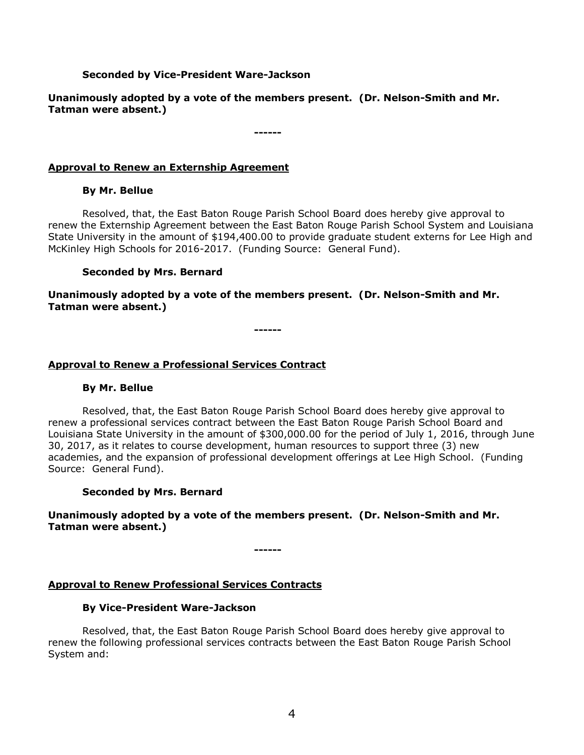## **Seconded by Vice-President Ware-Jackson**

**Unanimously adopted by a vote of the members present. (Dr. Nelson-Smith and Mr. Tatman were absent.)**

**------**

## **Approval to Renew an Externship Agreement**

## **By Mr. Bellue**

Resolved, that, the East Baton Rouge Parish School Board does hereby give approval to renew the Externship Agreement between the East Baton Rouge Parish School System and Louisiana State University in the amount of \$194,400.00 to provide graduate student externs for Lee High and McKinley High Schools for 2016-2017. (Funding Source: General Fund).

#### **Seconded by Mrs. Bernard**

**Unanimously adopted by a vote of the members present. (Dr. Nelson-Smith and Mr. Tatman were absent.)**

**------**

## **Approval to Renew a Professional Services Contract**

#### **By Mr. Bellue**

Resolved, that, the East Baton Rouge Parish School Board does hereby give approval to renew a professional services contract between the East Baton Rouge Parish School Board and Louisiana State University in the amount of \$300,000.00 for the period of July 1, 2016, through June 30, 2017, as it relates to course development, human resources to support three (3) new academies, and the expansion of professional development offerings at Lee High School. (Funding Source: General Fund).

#### **Seconded by Mrs. Bernard**

**Unanimously adopted by a vote of the members present. (Dr. Nelson-Smith and Mr. Tatman were absent.)**

**------**

## **Approval to Renew Professional Services Contracts**

#### **By Vice-President Ware-Jackson**

Resolved, that, the East Baton Rouge Parish School Board does hereby give approval to renew the following professional services contracts between the East Baton Rouge Parish School System and: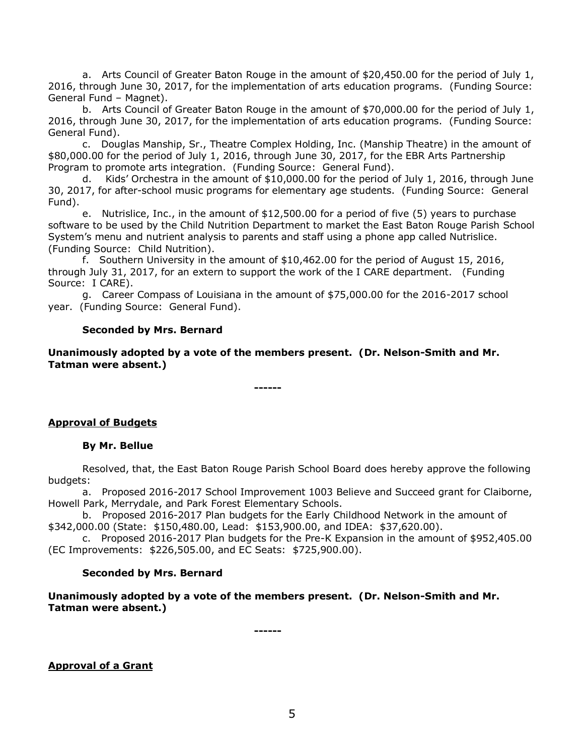a. Arts Council of Greater Baton Rouge in the amount of \$20,450.00 for the period of July 1, 2016, through June 30, 2017, for the implementation of arts education programs. (Funding Source: General Fund – Magnet).

b. Arts Council of Greater Baton Rouge in the amount of \$70,000.00 for the period of July 1, 2016, through June 30, 2017, for the implementation of arts education programs. (Funding Source: General Fund).

c. Douglas Manship, Sr., Theatre Complex Holding, Inc. (Manship Theatre) in the amount of \$80,000.00 for the period of July 1, 2016, through June 30, 2017, for the EBR Arts Partnership Program to promote arts integration. (Funding Source: General Fund).

Kids' Orchestra in the amount of  $$10,000.00$  for the period of July 1, 2016, through June 30, 2017, for after-school music programs for elementary age students. (Funding Source: General Fund).

e. Nutrislice, Inc., in the amount of \$12,500.00 for a period of five (5) years to purchase software to be used by the Child Nutrition Department to market the East Baton Rouge Parish School System's menu and nutrient analysis to parents and staff using a phone app called Nutrislice. (Funding Source: Child Nutrition).

f. Southern University in the amount of \$10,462.00 for the period of August 15, 2016, through July 31, 2017, for an extern to support the work of the I CARE department. (Funding Source: I CARE).

g. Career Compass of Louisiana in the amount of \$75,000.00 for the 2016-2017 school year. (Funding Source: General Fund).

## **Seconded by Mrs. Bernard**

**Unanimously adopted by a vote of the members present. (Dr. Nelson-Smith and Mr. Tatman were absent.)**

**------**

## **Approval of Budgets**

## **By Mr. Bellue**

Resolved, that, the East Baton Rouge Parish School Board does hereby approve the following budgets:

a. Proposed 2016-2017 School Improvement 1003 Believe and Succeed grant for Claiborne, Howell Park, Merrydale, and Park Forest Elementary Schools.

b. Proposed 2016-2017 Plan budgets for the Early Childhood Network in the amount of \$342,000.00 (State: \$150,480.00, Lead: \$153,900.00, and IDEA: \$37,620.00).

c. Proposed 2016-2017 Plan budgets for the Pre-K Expansion in the amount of \$952,405.00 (EC Improvements: \$226,505.00, and EC Seats: \$725,900.00).

## **Seconded by Mrs. Bernard**

**Unanimously adopted by a vote of the members present. (Dr. Nelson-Smith and Mr. Tatman were absent.)**

**------**

**Approval of a Grant**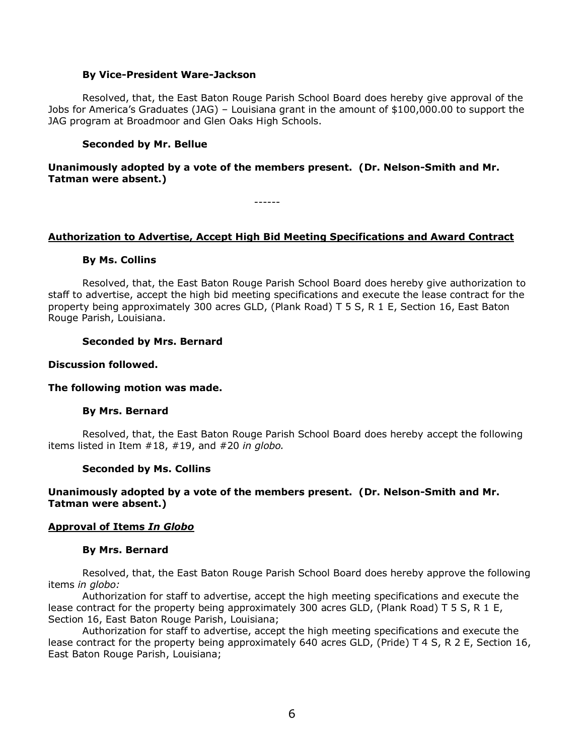#### **By Vice-President Ware-Jackson**

Resolved, that, the East Baton Rouge Parish School Board does hereby give approval of the Jobs for America's Graduates (JAG) – Louisiana grant in the amount of \$100,000.00 to support the JAG program at Broadmoor and Glen Oaks High Schools.

### **Seconded by Mr. Bellue**

## **Unanimously adopted by a vote of the members present. (Dr. Nelson-Smith and Mr. Tatman were absent.)**

------

#### **Authorization to Advertise, Accept High Bid Meeting Specifications and Award Contract**

#### **By Ms. Collins**

Resolved, that, the East Baton Rouge Parish School Board does hereby give authorization to staff to advertise, accept the high bid meeting specifications and execute the lease contract for the property being approximately 300 acres GLD, (Plank Road) T 5 S, R 1 E, Section 16, East Baton Rouge Parish, Louisiana.

#### **Seconded by Mrs. Bernard**

#### **Discussion followed.**

#### **The following motion was made.**

## **By Mrs. Bernard**

Resolved, that, the East Baton Rouge Parish School Board does hereby accept the following items listed in Item #18, #19, and #20 *in globo.* 

#### **Seconded by Ms. Collins**

## **Unanimously adopted by a vote of the members present. (Dr. Nelson-Smith and Mr. Tatman were absent.)**

## **Approval of Items** *In Globo*

#### **By Mrs. Bernard**

Resolved, that, the East Baton Rouge Parish School Board does hereby approve the following items *in globo:*

Authorization for staff to advertise, accept the high meeting specifications and execute the lease contract for the property being approximately 300 acres GLD, (Plank Road) T 5 S, R 1 E, Section 16, East Baton Rouge Parish, Louisiana;

Authorization for staff to advertise, accept the high meeting specifications and execute the lease contract for the property being approximately 640 acres GLD, (Pride) T 4 S, R 2 E, Section 16, East Baton Rouge Parish, Louisiana;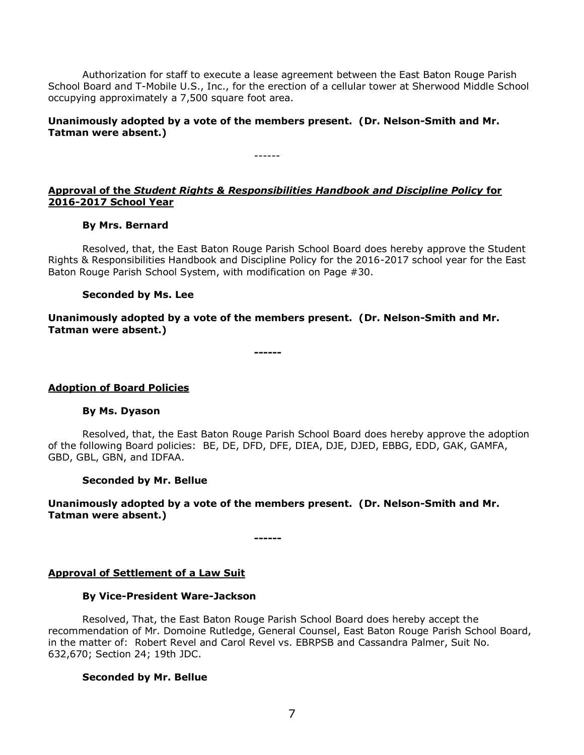Authorization for staff to execute a lease agreement between the East Baton Rouge Parish School Board and T-Mobile U.S., Inc., for the erection of a cellular tower at Sherwood Middle School occupying approximately a 7,500 square foot area.

**Unanimously adopted by a vote of the members present. (Dr. Nelson-Smith and Mr. Tatman were absent.)**

------

## **Approval of the** *Student Rights & Responsibilities Handbook and Discipline Policy* **for 2016-2017 School Year**

## **By Mrs. Bernard**

Resolved, that, the East Baton Rouge Parish School Board does hereby approve the Student Rights & Responsibilities Handbook and Discipline Policy for the 2016-2017 school year for the East Baton Rouge Parish School System, with modification on Page #30.

#### **Seconded by Ms. Lee**

**Unanimously adopted by a vote of the members present. (Dr. Nelson-Smith and Mr. Tatman were absent.)**

**------**

## **Adoption of Board Policies**

## **By Ms. Dyason**

Resolved, that, the East Baton Rouge Parish School Board does hereby approve the adoption of the following Board policies: BE, DE, DFD, DFE, DIEA, DJE, DJED, EBBG, EDD, GAK, GAMFA, GBD, GBL, GBN, and IDFAA.

## **Seconded by Mr. Bellue**

**Unanimously adopted by a vote of the members present. (Dr. Nelson-Smith and Mr. Tatman were absent.)**

**------**

# **Approval of Settlement of a Law Suit**

## **By Vice-President Ware-Jackson**

Resolved, That, the East Baton Rouge Parish School Board does hereby accept the recommendation of Mr. Domoine Rutledge, General Counsel, East Baton Rouge Parish School Board, in the matter of: Robert Revel and Carol Revel vs. EBRPSB and Cassandra Palmer, Suit No. 632,670; Section 24; 19th JDC.

# **Seconded by Mr. Bellue**